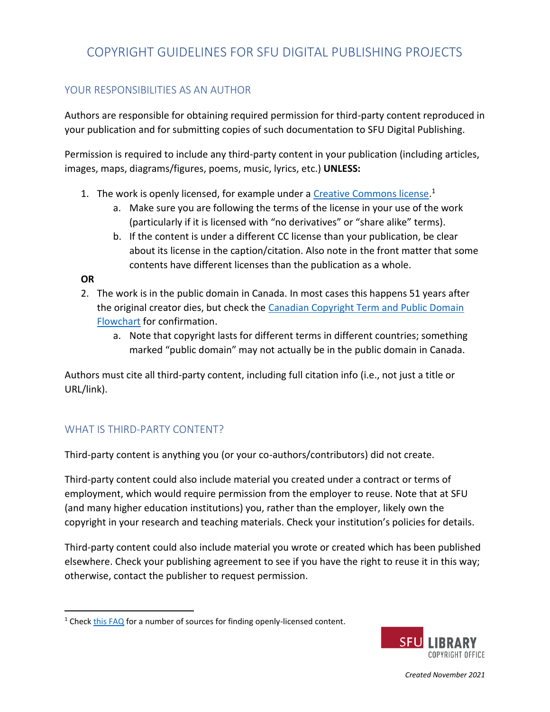## COPYRIGHT GUIDELINES FOR SFU DIGITAL PUBLISHING PROJECTS

### YOUR RESPONSIBILITIES AS AN AUTHOR

Authors are responsible for obtaining required permission for third-party content reproduced in your publication and for submitting copies of such documentation to SFU Digital Publishing.

Permission is required to include any third-party content in your publication (including articles, images, maps, diagrams/figures, poems, music, lyrics, etc.) **UNLESS:**

- 1. The work is openly licensed, for example under a [Creative Commons license.](https://creativecommons.org/about/cclicenses/)<sup>1</sup>
	- a. Make sure you are following the terms of the license in your use of the work (particularly if it is licensed with "no derivatives" or "share alike" terms).
	- b. If the content is under a different CC license than your publication, be clear about its license in the caption/citation. Also note in the front matter that some contents have different licenses than the publication as a whole.

**OR**

- 2. The work is in the public domain in Canada. In most cases this happens 51 years after the original creator dies, but check the [Canadian Copyright Term and Public Domain](https://www.ualberta.ca/faculty-and-staff/copyright/intro-to-copyright-law/licensed-royalty-free-content/pd-flowchart---types.html)  [Flowchart](https://www.ualberta.ca/faculty-and-staff/copyright/intro-to-copyright-law/licensed-royalty-free-content/pd-flowchart---types.html) for confirmation.
	- a. Note that copyright lasts for different terms in different countries; something marked "public domain" may not actually be in the public domain in Canada.

Authors must cite all third-party content, including full citation info (i.e., not just a title or URL/link).

### WHAT IS THIRD-PARTY CONTENT?

Third-party content is anything you (or your co-authors/contributors) did not create.

Third-party content could also include material you created under a contract or terms of employment, which would require permission from the employer to reuse. Note that at SFU (and many higher education institutions) you, rather than the employer, likely own the copyright in your research and teaching materials. Check your institution's policies for details.

Third-party content could also include material you wrote or created which has been published elsewhere. Check your publishing agreement to see if you have the right to reuse it in this way; otherwise, contact the publisher to request permission.

<sup>&</sup>lt;sup>1</sup> Check [this FAQ](https://www.lib.sfu.ca/help/academic-integrity/copyright/materials-free-use) for a number of sources for finding openly-licensed content.



*Created November 2021*